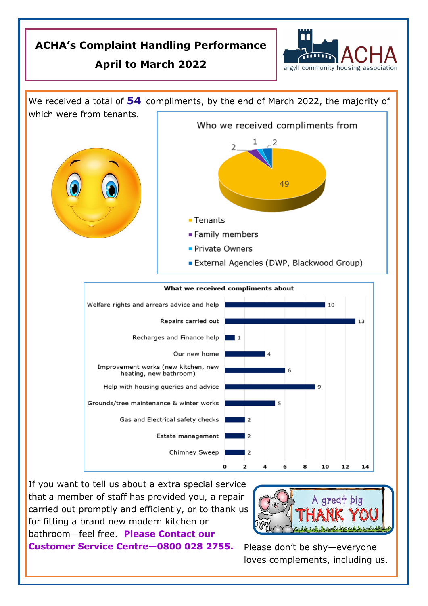## **ACHA's Complaint Handling Performance**

## **April to March 2022**





If you want to tell us about a extra special service that a member of staff has provided you, a repair carried out promptly and efficiently, or to thank us for fitting a brand new modern kitchen or bathroom—feel free. **Please Contact our** 

**Customer Service Centre—0800 028 2755.** Please don't be shy—everyone

loves complements, including us.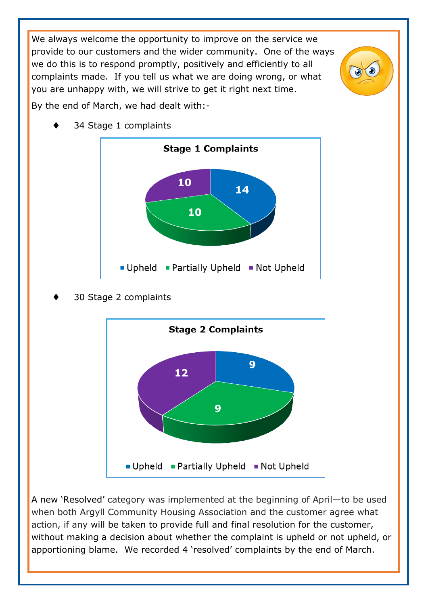We always welcome the opportunity to improve on the service we provide to our customers and the wider community. One of the ways we do this is to respond promptly, positively and efficiently to all complaints made. If you tell us what we are doing wrong, or what you are unhappy with, we will strive to get it right next time.

By the end of March, we had dealt with:-



34 Stage 1 complaints

30 Stage 2 complaints



A new 'Resolved' category was implemented at the beginning of April—to be used when both Argyll Community Housing Association and the customer agree what action, if any will be taken to provide full and final resolution for the customer, without making a decision about whether the complaint is upheld or not upheld, or apportioning blame. We recorded 4 'resolved' complaints by the end of March.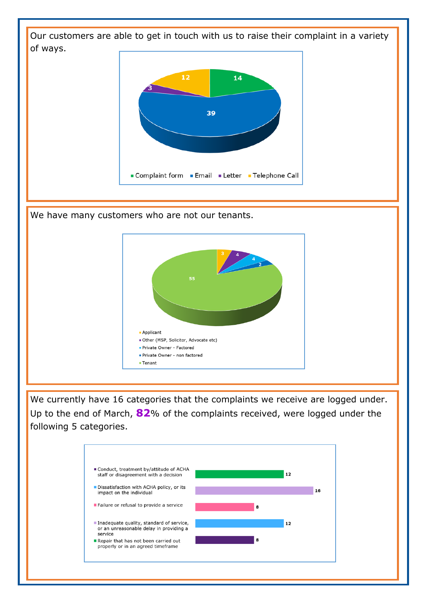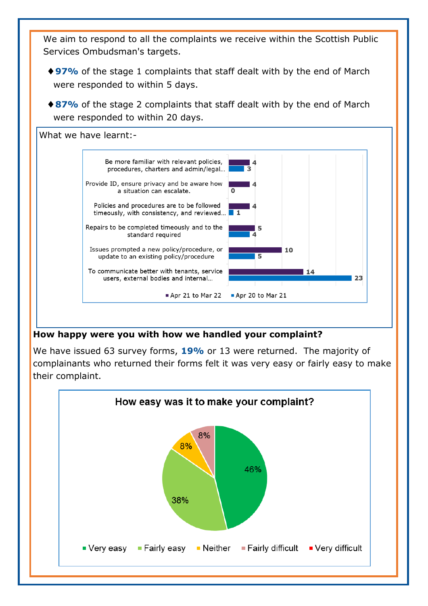We aim to respond to all the complaints we receive within the Scottish Public Services Ombudsman's targets.

- ◆97% of the stage 1 complaints that staff dealt with by the end of March were responded to within 5 days.
- ◆ 87% of the stage 2 complaints that staff dealt with by the end of March were responded to within 20 days.



## **How happy were you with how we handled your complaint?**

We have issued 63 survey forms, **19%** or 13 were returned. The majority of complainants who returned their forms felt it was very easy or fairly easy to make their complaint.

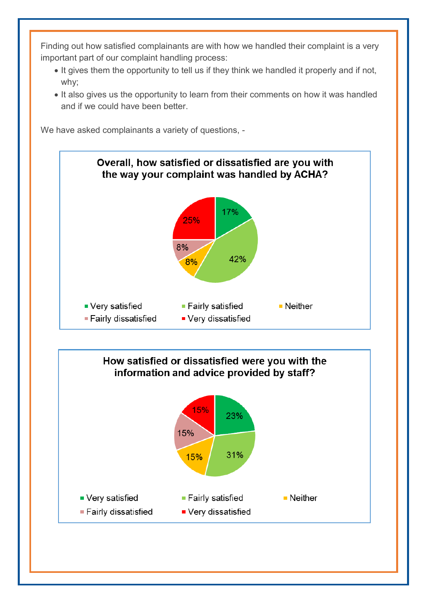Finding out how satisfied complainants are with how we handled their complaint is a very important part of our complaint handling process:

- It gives them the opportunity to tell us if they think we handled it properly and if not, why;
- It also gives us the opportunity to learn from their comments on how it was handled and if we could have been better.

We have asked complainants a variety of questions. -